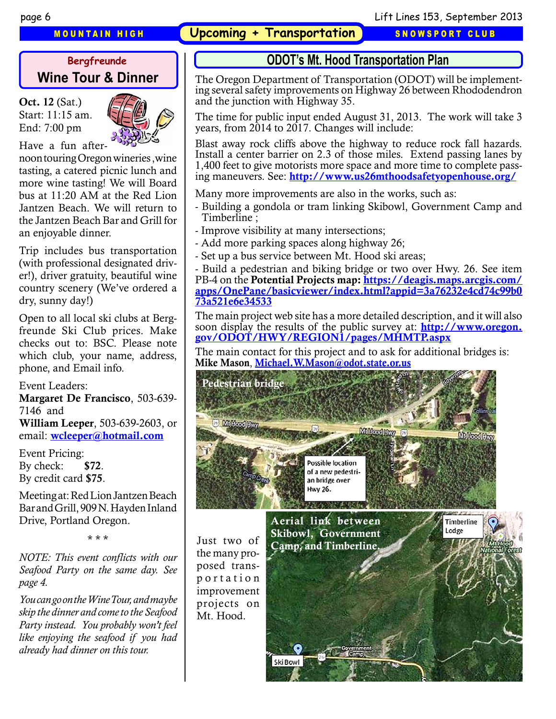**MOUNTAIN HIGH • Upcoming + Transportation • SNOWSPORT CLUB** 

# **Wine Tour & Dinner**

Oct. 12 (Sat.) Start: 11:15 am. End: 7:00 pm



Have a fun after-

noon touring Oregon wineries ,wine tasting, a catered picnic lunch and more wine tasting! We will Board bus at 11:20 AM at the Red Lion Jantzen Beach. We will return to the Jantzen Beach Bar and Grill for an enjoyable dinner.

Trip includes bus transportation (with professional designated driver!), driver gratuity, beautiful wine country scenery (We've ordered a dry, sunny day!)

Open to all local ski clubs at Bergfreunde Ski Club prices. Make checks out to: BSC. Please note which club, your name, address, phone, and Email info.

Event Leaders:

Margaret De Francisco, 503-639- 7146 and William Leeper, 503-639-2603, or email: [wcleeper@hotmail.com](mailto:wcleeper%40hotmail.com?subject=Wine%20Tour)

Event Pricing: By check: \$72. By credit card \$75.

Meeting at: Red Lion Jantzen Beach Bar and Grill, 909 N. Hayden Inland Drive, Portland Oregon.

\* \* \*

*NOTE: This event conflicts with our Seafood Party on the same day. See page 4.* 

*You can go on the Wine Tour, and maybe skip the dinner and come to the Seafood Party instead. You probably won't feel like enjoying the seafood if you had already had dinner on this tour.* 

## **Bergfreunde ODOT's Mt. Hood Transportation Plan**

The Oregon Department of Transportation (ODOT) will be implementing several safety improvements on Highway 26 between Rhododendron and the junction with Highway 35.

The time for public input ended August 31, 2013. The work will take 3 years, from 2014 to 2017. Changes will include:

Blast away rock cliffs above the highway to reduce rock fall hazards. Install a center barrier on 2.3 of those miles. Extend passing lanes by 1,400 feet to give motorists more space and more time to complete passing maneuvers. See: <http://www.us26mthoodsafetyopenhouse.org/>

Many more improvements are also in the works, such as:

- Building a gondola or tram linking Skibowl, Government Camp and Timberline ;
- Improve visibility at many intersections;
- Add more parking spaces along highway 26;
- Set up a bus service between Mt. Hood ski areas;

- Build a pedestrian and biking bridge or two over Hwy. 26. See item PB-4 on the Potential Projects map: [https://deagis.maps.arcgis.com/](https://deagis.maps.arcgis.com/apps/OnePane/basicviewer/index.html?appid=3a76232e4cd74c99b073a521e6e34533) [apps/OnePane/basicviewer/index.html?appid=3a76232e4cd74c99b0](https://deagis.maps.arcgis.com/apps/OnePane/basicviewer/index.html?appid=3a76232e4cd74c99b073a521e6e34533) [73a521e6e34533](https://deagis.maps.arcgis.com/apps/OnePane/basicviewer/index.html?appid=3a76232e4cd74c99b073a521e6e34533)

The main project web site has a more detailed description, and it will also soon display the results of the public survey at: **[http://www.oregon.](http://www.oregon.gov/ODOT/HWY/REGION1/pages/MHMTP.aspx)** [gov/ODOT/HWY/REGION1/pages/MHMTP.aspx](http://www.oregon.gov/ODOT/HWY/REGION1/pages/MHMTP.aspx)

The main contact for this project and to ask for additional bridges is: Mike Mason, [Michael.W.Mason@odot.state.or.us](mailto:Michael.W.Mason%40odot.state.or.us?subject=)